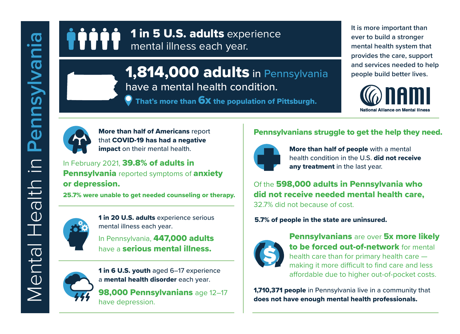

**1,814,000 adults** in Pennsylvania **people build better lives.** have a mental health condition.

That's more than 6X the population of Pittsburgh.

**It is more important than ever to build a stronger mental health system that provides the care, support** 





More than half of Americans report that COVID-19 has had a negative impact on their mental health.

In February 2021, 39.8% of adults in **Pennsylvania** reported symptoms of **anxiety** or depression.

25.7% were unable to get needed counseling or therapy.



1 in 20 U.S. adults experience serious mental illness each year.

In Pennsylvania, 447,000 adults have a serious mental illness.



1 in 6 U.S. youth aged 6-17 experience a mental health disorder each year.

98,000 Pennsylvanians age 12–17 have depression.

## Pennsylvanians struggle to get the help they need.



More than half of people with a mental health condition in the U.S. did not receive any treatment in the last year.

Of the 598,000 adults in Pennsylvania who did not receive needed mental health care, 32.7% did not because of cost.

5.7% of people in the state are uninsured.



**Pennsylvanians are over 5x more likely** to be forced out-of-network for mental health care than for primary health care making it more difficult to find care and less affordable due to higher out-of-pocket costs.

**1,710,371 people** in Pennsylvania live in a community that does not have enough mental health professionals.